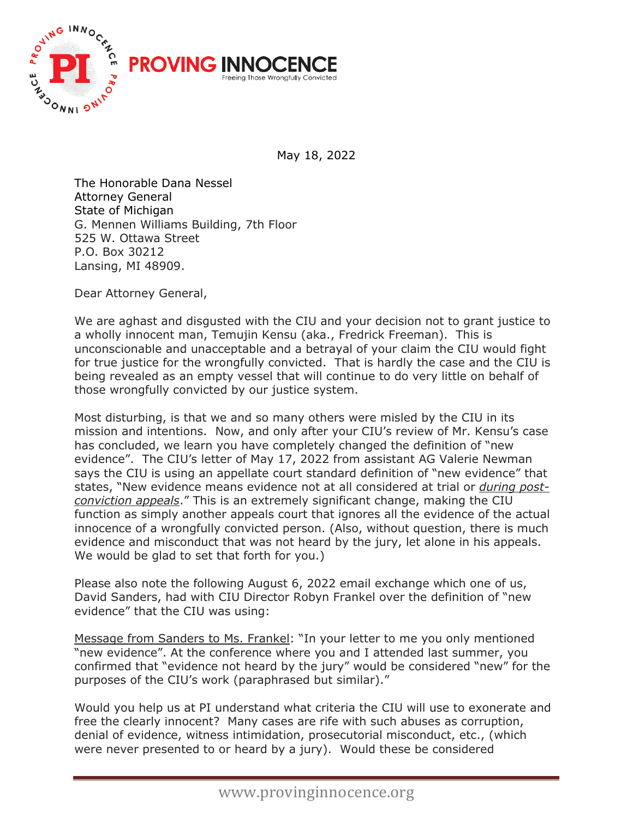

May 18, 2022

The Honorable Dana Nessel Attorney General State of Michigan G. Mennen Williams Building, 7th Floor 525 W. Ottawa Street P.O. Box 30212 Lansing, MI 48909.

Dear Attorney General,

We are aghast and disgusted with the CIU and your decision not to grant justice to a wholly innocent man, Temujin Kensu (aka., Fredrick Freeman). This is unconscionable and unacceptable and a betrayal of your claim the CIU would fight for true justice for the wrongfully convicted. That is hardly the case and the CIU is being revealed as an empty vessel that will continue to do very little on behalf of those wrongfully convicted by our justice system.

Most disturbing, is that we and so many others were misled by the CIU in its mission and intentions. Now, and only after your CIU's review of Mr. Kensu's case has concluded, we learn you have completely changed the definition of "new evidence". The CIU's letter of May 17, 2022 from assistant AG Valerie Newman says the CIU is using an appellate court standard definition of "new evidence" that states, "New evidence means evidence not at all considered at trial or *during postconviction appeals*." This is an extremely significant change, making the CIU function as simply another appeals court that ignores all the evidence of the actual innocence of a wrongfully convicted person. (Also, without question, there is much evidence and misconduct that was not heard by the jury, let alone in his appeals. We would be glad to set that forth for you.)

Please also note the following August 6, 2022 email exchange which one of us, David Sanders, had with CIU Director Robyn Frankel over the definition of "new evidence" that the CIU was using:

Message from Sanders to Ms. Frankel: "In your letter to me you only mentioned "new evidence". At the conference where you and I attended last summer, you confirmed that "evidence not heard by the jury" would be considered "new" for the purposes of the CIU's work (paraphrased but similar)."

Would you help us at PI understand what criteria the CIU will use to exonerate and free the clearly innocent? Many cases are rife with such abuses as corruption, denial of evidence, witness intimidation, prosecutorial misconduct, etc., (which were never presented to or heard by a jury). Would these be considered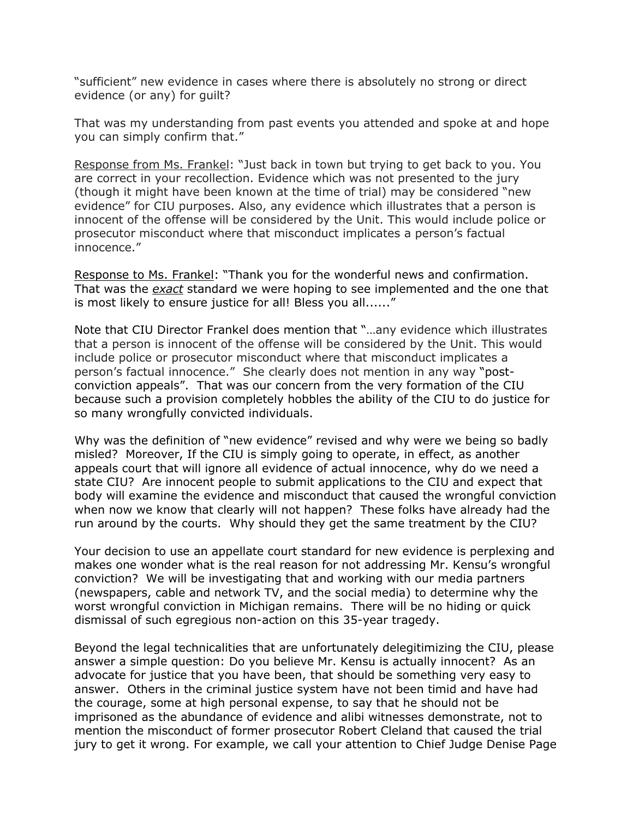"sufficient" new evidence in cases where there is absolutely no strong or direct evidence (or any) for guilt?

That was my understanding from past events you attended and spoke at and hope you can simply confirm that."

Response from Ms. Frankel: "Just back in town but trying to get back to you. You are correct in your recollection. Evidence which was not presented to the jury (though it might have been known at the time of trial) may be considered "new evidence" for CIU purposes. Also, any evidence which illustrates that a person is innocent of the offense will be considered by the Unit. This would include police or prosecutor misconduct where that misconduct implicates a person's factual innocence."

Response to Ms. Frankel: "Thank you for the wonderful news and confirmation. That was the *exact* standard we were hoping to see implemented and the one that is most likely to ensure justice for all! Bless you all......"

Note that CIU Director Frankel does mention that "…any evidence which illustrates that a person is innocent of the offense will be considered by the Unit. This would include police or prosecutor misconduct where that misconduct implicates a person's factual innocence." She clearly does not mention in any way "postconviction appeals". That was our concern from the very formation of the CIU because such a provision completely hobbles the ability of the CIU to do justice for so many wrongfully convicted individuals.

Why was the definition of "new evidence" revised and why were we being so badly misled? Moreover, If the CIU is simply going to operate, in effect, as another appeals court that will ignore all evidence of actual innocence, why do we need a state CIU? Are innocent people to submit applications to the CIU and expect that body will examine the evidence and misconduct that caused the wrongful conviction when now we know that clearly will not happen? These folks have already had the run around by the courts. Why should they get the same treatment by the CIU?

Your decision to use an appellate court standard for new evidence is perplexing and makes one wonder what is the real reason for not addressing Mr. Kensu's wrongful conviction? We will be investigating that and working with our media partners (newspapers, cable and network TV, and the social media) to determine why the worst wrongful conviction in Michigan remains. There will be no hiding or quick dismissal of such egregious non-action on this 35-year tragedy.

Beyond the legal technicalities that are unfortunately delegitimizing the CIU, please answer a simple question: Do you believe Mr. Kensu is actually innocent? As an advocate for justice that you have been, that should be something very easy to answer. Others in the criminal justice system have not been timid and have had the courage, some at high personal expense, to say that he should not be imprisoned as the abundance of evidence and alibi witnesses demonstrate, not to mention the misconduct of former prosecutor Robert Cleland that caused the trial jury to get it wrong. For example, we call your attention to Chief Judge Denise Page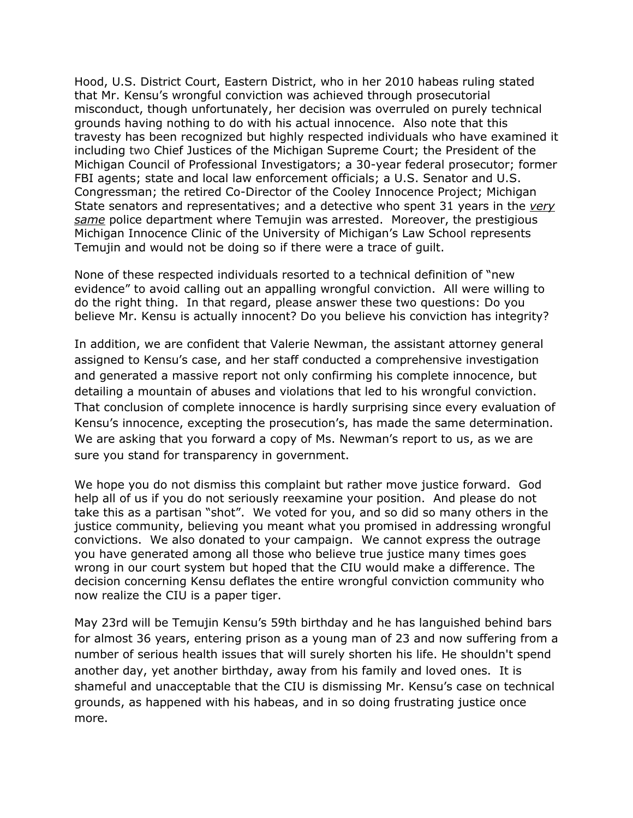Hood, U.S. District Court, Eastern District, who in her 2010 habeas ruling stated that Mr. Kensu's wrongful conviction was achieved through prosecutorial misconduct, though unfortunately, her decision was overruled on purely technical grounds having nothing to do with his actual innocence. Also note that this travesty has been recognized but highly respected individuals who have examined it including two Chief Justices of the Michigan Supreme Court; the President of the Michigan Council of Professional Investigators; a 30-year federal prosecutor; former FBI agents; state and local law enforcement officials; a U.S. Senator and U.S. Congressman; the retired Co-Director of the Cooley Innocence Project; Michigan State senators and representatives; and a detective who spent 31 years in the *very same* police department where Temujin was arrested. Moreover, the prestigious Michigan Innocence Clinic of the University of Michigan's Law School represents Temujin and would not be doing so if there were a trace of guilt.

None of these respected individuals resorted to a technical definition of "new evidence" to avoid calling out an appalling wrongful conviction. All were willing to do the right thing. In that regard, please answer these two questions: Do you believe Mr. Kensu is actually innocent? Do you believe his conviction has integrity?

In addition, we are confident that Valerie Newman, the assistant attorney general assigned to Kensu's case, and her staff conducted a comprehensive investigation and generated a massive report not only confirming his complete innocence, but detailing a mountain of abuses and violations that led to his wrongful conviction. That conclusion of complete innocence is hardly surprising since every evaluation of Kensu's innocence, excepting the prosecution's, has made the same determination. We are asking that you forward a copy of Ms. Newman's report to us, as we are sure you stand for transparency in government.

We hope you do not dismiss this complaint but rather move justice forward. God help all of us if you do not seriously reexamine your position. And please do not take this as a partisan "shot". We voted for you, and so did so many others in the justice community, believing you meant what you promised in addressing wrongful convictions. We also donated to your campaign. We cannot express the outrage you have generated among all those who believe true justice many times goes wrong in our court system but hoped that the CIU would make a difference. The decision concerning Kensu deflates the entire wrongful conviction community who now realize the CIU is a paper tiger.

May 23rd will be Temujin Kensu's 59th birthday and he has languished behind bars for almost 36 years, entering prison as a young man of 23 and now suffering from a number of serious health issues that will surely shorten his life. He shouldn't spend another day, yet another birthday, away from his family and loved ones. It is shameful and unacceptable that the CIU is dismissing Mr. Kensu's case on technical grounds, as happened with his habeas, and in so doing frustrating justice once more.